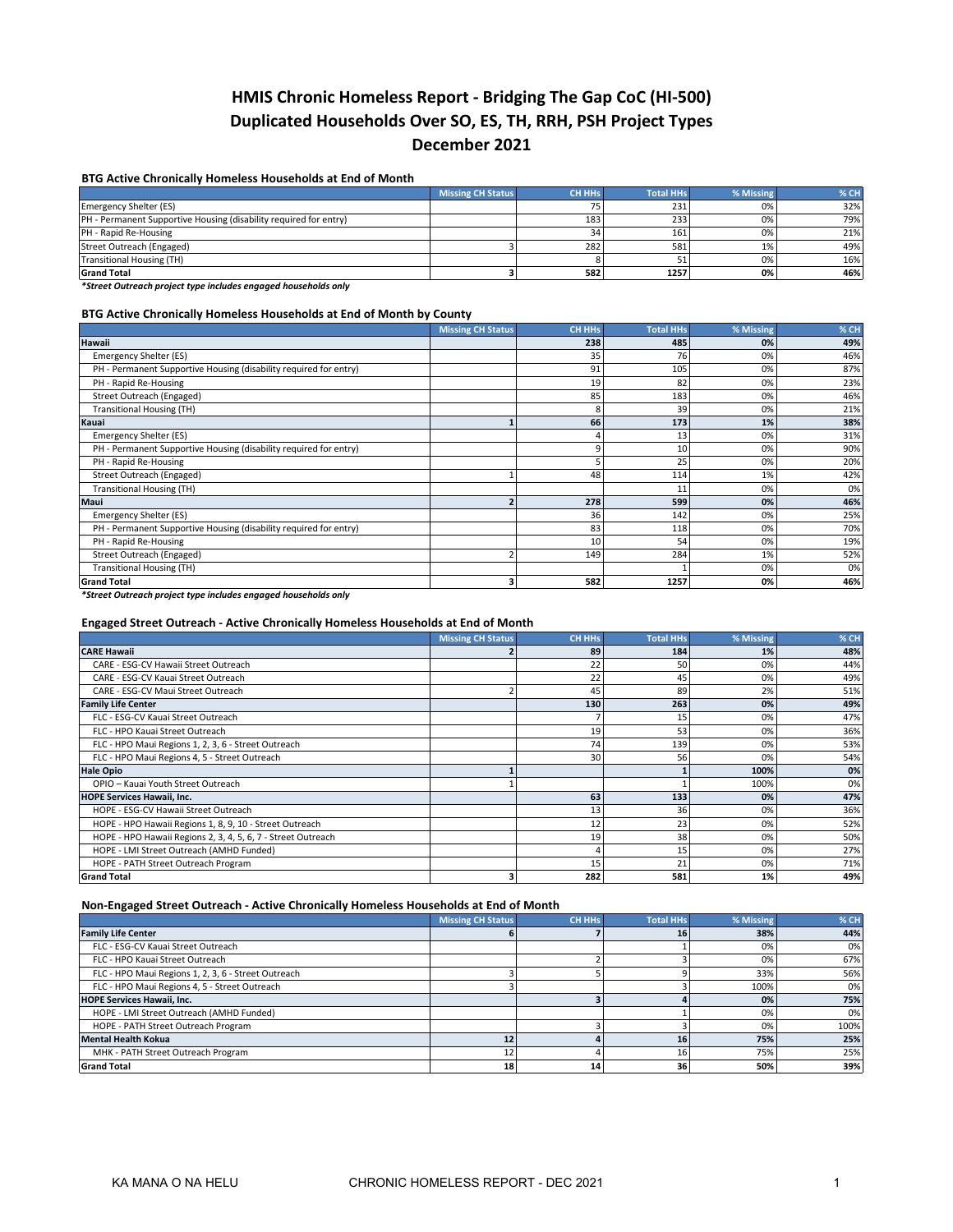# **HMIS Chronic Homeless Report - Bridging The Gap CoC (HI-500) Duplicated Households Over SO, ES, TH, RRH, PSH Project Types December 2021**

## **BTG Active Chronically Homeless Households at End of Month**

|                                                                   | <b>Missing CH Status</b> | <b>CH HHs</b> | Total HHs | % Missing | % CH |
|-------------------------------------------------------------------|--------------------------|---------------|-----------|-----------|------|
| Emergency Shelter (ES)                                            |                          |               | 231       | 0%        | 32%  |
| PH - Permanent Supportive Housing (disability required for entry) |                          | 183           | 233       | 0%        | 79%  |
| PH - Rapid Re-Housing                                             |                          | 34            | 161       | 0%        | 21%  |
| Street Outreach (Engaged)                                         |                          | 282           | 581       | 1%        | 49%  |
| Transitional Housing (TH)                                         |                          |               | 51        | 0%        | 16%  |
| <b>Grand Total</b>                                                |                          | 582           | 1257      | 0%        | 46%  |

*\*Street Outreach project type includes engaged households only*

## **BTG Active Chronically Homeless Households at End of Month by County**

|                                                                   | <b>Missing CH Status</b> | <b>CH HHs</b> | <b>Total HHs</b> | % Missing | % CH |
|-------------------------------------------------------------------|--------------------------|---------------|------------------|-----------|------|
| <b>Hawaii</b>                                                     |                          | 238           | 485              | 0%        | 49%  |
| Emergency Shelter (ES)                                            |                          | 35            | 76               | 0%        | 46%  |
| PH - Permanent Supportive Housing (disability required for entry) |                          | 91            | 105              | 0%        | 87%  |
| PH - Rapid Re-Housing                                             |                          | 19            | 82               | 0%        | 23%  |
| Street Outreach (Engaged)                                         |                          | 85            | 183              | 0%        | 46%  |
| <b>Transitional Housing (TH)</b>                                  |                          |               | 39               | 0%        | 21%  |
| Kauai                                                             |                          | 66            | 173              | 1%        | 38%  |
| <b>Emergency Shelter (ES)</b>                                     |                          |               | 13               | 0%        | 31%  |
| PH - Permanent Supportive Housing (disability required for entry) |                          |               | 10               | 0%        | 90%  |
| PH - Rapid Re-Housing                                             |                          |               | 25               | 0%        | 20%  |
| Street Outreach (Engaged)                                         |                          | 48            | 114              | 1%        | 42%  |
| Transitional Housing (TH)                                         |                          |               | 11               | 0%        | 0%   |
| Maui                                                              |                          | 278           | 599              | 0%        | 46%  |
| Emergency Shelter (ES)                                            |                          | 36            | 142              | 0%        | 25%  |
| PH - Permanent Supportive Housing (disability required for entry) |                          | 83            | 118              | 0%        | 70%  |
| PH - Rapid Re-Housing                                             |                          | 10            | 54               | 0%        | 19%  |
| Street Outreach (Engaged)                                         |                          | 149           | 284              | 1%        | 52%  |
| <b>Transitional Housing (TH)</b>                                  |                          |               |                  | 0%        | 0%   |
| <b>Grand Total</b>                                                |                          | 582           | 1257             | 0%        | 46%  |

*\*Street Outreach project type includes engaged households only*

#### **Engaged Street Outreach - Active Chronically Homeless Households at End of Month**

|                                                              | <b>Missing CH Status</b> | <b>CH HHs</b> | <b>Total HHs</b> | % Missing | % CH |
|--------------------------------------------------------------|--------------------------|---------------|------------------|-----------|------|
| <b>CARE Hawaii</b>                                           |                          | 89            | 184              | 1%        | 48%  |
| CARE - ESG-CV Hawaii Street Outreach                         |                          | 22            | 50               | 0%        | 44%  |
| CARE - ESG-CV Kauai Street Outreach                          |                          | 22            | 45               | 0%        | 49%  |
| CARE - ESG-CV Maui Street Outreach                           |                          | 45            | 89               | 2%        | 51%  |
| <b>Family Life Center</b>                                    |                          | 130           | 263              | 0%        | 49%  |
| FLC - ESG-CV Kauai Street Outreach                           |                          |               | 15               | 0%        | 47%  |
| FLC - HPO Kauai Street Outreach                              |                          | 19            | 53               | 0%        | 36%  |
| FLC - HPO Maui Regions 1, 2, 3, 6 - Street Outreach          |                          | 74            | 139              | 0%        | 53%  |
| FLC - HPO Maui Regions 4, 5 - Street Outreach                |                          | 30            | 56               | 0%        | 54%  |
| <b>Hale Opio</b>                                             |                          |               |                  | 100%      | 0%   |
| OPIO - Kauai Youth Street Outreach                           |                          |               |                  | 100%      | 0%   |
| <b>HOPE Services Hawaii, Inc.</b>                            |                          | 63            | 133              | 0%        | 47%  |
| HOPE - ESG-CV Hawaii Street Outreach                         |                          | 13            | 36               | 0%        | 36%  |
| HOPE - HPO Hawaii Regions 1, 8, 9, 10 - Street Outreach      |                          |               | 23               | 0%        | 52%  |
| HOPE - HPO Hawaii Regions 2, 3, 4, 5, 6, 7 - Street Outreach |                          | 19            | 38               | 0%        | 50%  |
| HOPE - LMI Street Outreach (AMHD Funded)                     |                          |               | 15               | 0%        | 27%  |
| HOPE - PATH Street Outreach Program                          |                          |               | 21               | 0%        | 71%  |
| <b>Grand Total</b>                                           |                          | 282           | 581              | 1%        | 49%  |

## **Non-Engaged Street Outreach - Active Chronically Homeless Households at End of Month**

|                                                     | <b>Missing CH Status</b> | <b>CH HHs</b> | <b>Total HHs</b> | % Missing | % CH |
|-----------------------------------------------------|--------------------------|---------------|------------------|-----------|------|
| <b>Family Life Center</b>                           |                          |               | 16               | 38%       | 44%  |
| FLC - ESG-CV Kauai Street Outreach                  |                          |               |                  | 0%        | 0%   |
| FLC - HPO Kauai Street Outreach                     |                          |               |                  | 0%        | 67%  |
| FLC - HPO Maui Regions 1, 2, 3, 6 - Street Outreach |                          |               |                  | 33%       | 56%  |
| FLC - HPO Maui Regions 4, 5 - Street Outreach       |                          |               |                  | 100%      | 0%   |
| <b>HOPE Services Hawaii, Inc.</b>                   |                          |               |                  | 0%        | 75%  |
| HOPE - LMI Street Outreach (AMHD Funded)            |                          |               |                  | 0%        | 0%   |
| HOPE - PATH Street Outreach Program                 |                          |               |                  | 0%        | 100% |
| <b>Mental Health Kokua</b>                          | 12                       |               | 16               | 75%       | 25%  |
| MHK - PATH Street Outreach Program                  |                          |               | 16 <sub>1</sub>  | 75%       | 25%  |
| <b>Grand Total</b>                                  | 18                       | 14            | 36               | 50%       | 39%  |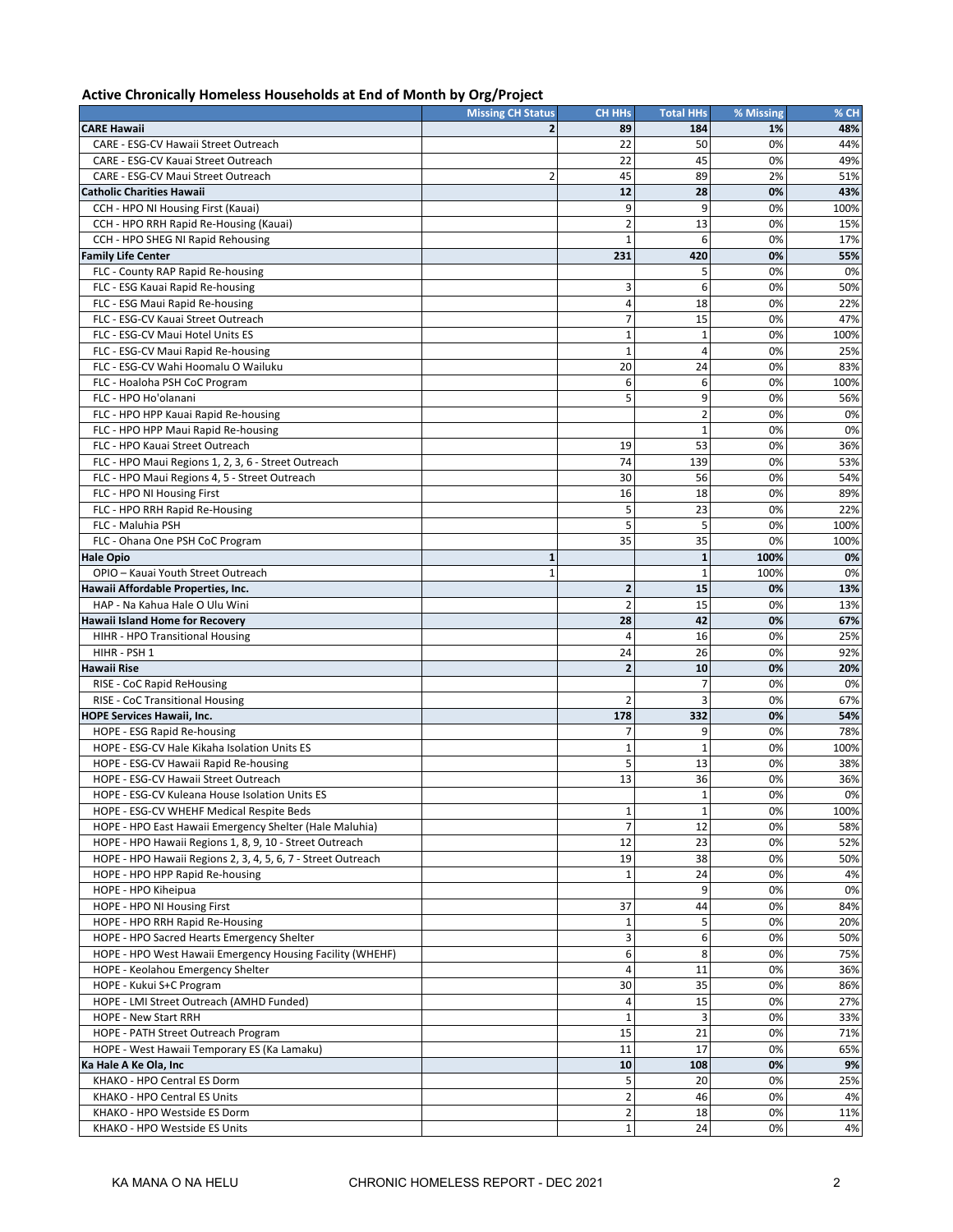# **Active Chronically Homeless Households at End of Month by Org/Project**

|                                                              | <b>Missing CH Status</b> | <b>CH HHs</b>           | <b>Total HHs</b> | % Missing | % CH |
|--------------------------------------------------------------|--------------------------|-------------------------|------------------|-----------|------|
| <b>CARE Hawaii</b>                                           | $\overline{2}$           | 89                      | 184              | 1%        | 48%  |
| CARE - ESG-CV Hawaii Street Outreach                         |                          | 22                      | 50               | 0%        | 44%  |
| CARE - ESG-CV Kauai Street Outreach                          |                          | 22                      | 45               | 0%        | 49%  |
| CARE - ESG-CV Maui Street Outreach                           | $\overline{2}$           | 45                      | 89               | 2%        | 51%  |
| <b>Catholic Charities Hawaii</b>                             |                          | 12                      | 28               | 0%        | 43%  |
| CCH - HPO NI Housing First (Kauai)                           |                          | 9                       | 9                | 0%        | 100% |
| CCH - HPO RRH Rapid Re-Housing (Kauai)                       |                          | $\overline{2}$          | 13               | 0%        | 15%  |
| CCH - HPO SHEG NI Rapid Rehousing                            |                          | $\mathbf{1}$            | 6                | 0%        | 17%  |
| <b>Family Life Center</b>                                    |                          | 231                     | 420              | 0%        | 55%  |
| FLC - County RAP Rapid Re-housing                            |                          |                         | 5                | 0%        | 0%   |
| FLC - ESG Kauai Rapid Re-housing                             |                          | 3                       | 6                | 0%        | 50%  |
| FLC - ESG Maui Rapid Re-housing                              |                          | $\overline{4}$          | 18               | 0%        | 22%  |
| FLC - ESG-CV Kauai Street Outreach                           |                          | $\overline{7}$          | 15               | 0%        | 47%  |
| FLC - ESG-CV Maui Hotel Units ES                             |                          | $\mathbf 1$             | $\mathbf{1}$     | 0%        | 100% |
| FLC - ESG-CV Maui Rapid Re-housing                           |                          | $\mathbf 1$             | $\overline{4}$   | 0%        | 25%  |
| FLC - ESG-CV Wahi Hoomalu O Wailuku                          |                          | 20                      | 24               | 0%        | 83%  |
| FLC - Hoaloha PSH CoC Program                                |                          | 6                       | 6                | 0%        | 100% |
| FLC - HPO Ho'olanani                                         |                          | 5                       | 9                | 0%        | 56%  |
| FLC - HPO HPP Kauai Rapid Re-housing                         |                          |                         | $\overline{2}$   | 0%        | 0%   |
| FLC - HPO HPP Maui Rapid Re-housing                          |                          |                         | $\mathbf{1}$     | 0%        | 0%   |
| FLC - HPO Kauai Street Outreach                              |                          | 19                      | 53               | 0%        | 36%  |
| FLC - HPO Maui Regions 1, 2, 3, 6 - Street Outreach          |                          | 74                      | 139              | 0%        | 53%  |
| FLC - HPO Maui Regions 4, 5 - Street Outreach                |                          | 30                      | 56               | 0%        | 54%  |
| FLC - HPO NI Housing First                                   |                          | 16                      | 18               | 0%        | 89%  |
| FLC - HPO RRH Rapid Re-Housing                               |                          | 5                       | 23               | 0%        | 22%  |
| FLC - Maluhia PSH                                            |                          | 5                       | 5                | 0%        | 100% |
| FLC - Ohana One PSH CoC Program                              |                          | 35                      | 35               | 0%        | 100% |
| <b>Hale Opio</b>                                             | $\mathbf{1}$             |                         | $\mathbf{1}$     | 100%      | 0%   |
| OPIO - Kauai Youth Street Outreach                           | $\mathbf{1}$             |                         | $\mathbf{1}$     | 100%      | 0%   |
| Hawaii Affordable Properties, Inc.                           |                          | $\overline{\mathbf{2}}$ | 15               | 0%        | 13%  |
| HAP - Na Kahua Hale O Ulu Wini                               |                          | $\overline{2}$          | 15               | 0%        | 13%  |
| <b>Hawaii Island Home for Recovery</b>                       |                          | 28                      | 42               | 0%        | 67%  |
| HIHR - HPO Transitional Housing                              |                          | 4                       | 16               | 0%        | 25%  |
| HIHR - PSH 1                                                 |                          | 24                      | 26               | 0%        | 92%  |
| <b>Hawaii Rise</b>                                           |                          | $\overline{\mathbf{2}}$ | 10               | 0%        | 20%  |
| RISE - CoC Rapid ReHousing                                   |                          |                         | 7                | 0%        | 0%   |
| RISE - CoC Transitional Housing                              |                          | 2                       | 3                | 0%        | 67%  |
| <b>HOPE Services Hawaii, Inc.</b>                            |                          | 178                     | 332              | 0%        | 54%  |
| HOPE - ESG Rapid Re-housing                                  |                          | 7                       | 9                | 0%        | 78%  |
| HOPE - ESG-CV Hale Kikaha Isolation Units ES                 |                          | $\mathbf 1$             | $\mathbf{1}$     | 0%        | 100% |
| HOPE - ESG-CV Hawaii Rapid Re-housing                        |                          | 5                       | 13               | 0%        | 38%  |
| HOPE - ESG-CV Hawaii Street Outreach                         |                          | 13                      | 36               | 0%        | 36%  |
| HOPE - ESG-CV Kuleana House Isolation Units ES               |                          |                         | $\mathbf{1}$     | 0%        | 0%   |
| HOPE - ESG-CV WHEHF Medical Respite Beds                     |                          | $\mathbf 1$             | $\mathbf{1}$     | 0%        | 100% |
| HOPE - HPO East Hawaii Emergency Shelter (Hale Maluhia)      |                          | $\overline{7}$          | 12               | 0%        | 58%  |
| HOPE - HPO Hawaii Regions 1, 8, 9, 10 - Street Outreach      |                          | 12                      | 23               | 0%        | 52%  |
| HOPE - HPO Hawaii Regions 2, 3, 4, 5, 6, 7 - Street Outreach |                          | 19                      | 38               | 0%        | 50%  |
| HOPE - HPO HPP Rapid Re-housing                              |                          | $\mathbf 1$             | 24               | 0%        | 4%   |
| HOPE - HPO Kiheipua                                          |                          |                         | 9                | 0%        | 0%   |
| HOPE - HPO NI Housing First                                  |                          | 37                      | 44               | 0%        | 84%  |
| HOPE - HPO RRH Rapid Re-Housing                              |                          | $\mathbf 1$             | 5                | 0%        | 20%  |
| HOPE - HPO Sacred Hearts Emergency Shelter                   |                          | 3                       | 6                | 0%        | 50%  |
| HOPE - HPO West Hawaii Emergency Housing Facility (WHEHF)    |                          | 6                       | 8                | 0%        | 75%  |
| HOPE - Keolahou Emergency Shelter                            |                          | $\overline{4}$          | 11               | 0%        | 36%  |
| HOPE - Kukui S+C Program                                     |                          | 30                      | 35               | 0%        | 86%  |
| HOPE - LMI Street Outreach (AMHD Funded)                     |                          | 4                       | 15               | 0%        | 27%  |
| HOPE - New Start RRH                                         |                          | $1\,$                   | 3                | 0%        | 33%  |
| HOPE - PATH Street Outreach Program                          |                          | 15                      | 21               | 0%        | 71%  |
| HOPE - West Hawaii Temporary ES (Ka Lamaku)                  |                          | 11                      | 17               | 0%        | 65%  |
| Ka Hale A Ke Ola, Inc                                        |                          | 10                      | 108              | 0%        | 9%   |
| KHAKO - HPO Central ES Dorm                                  |                          | 5                       | 20               | 0%        | 25%  |
| KHAKO - HPO Central ES Units                                 |                          | $\overline{2}$          | 46               | 0%        | 4%   |
| KHAKO - HPO Westside ES Dorm                                 |                          | $\mathbf 2$             | 18               | 0%        | 11%  |
| KHAKO - HPO Westside ES Units                                |                          | $\mathbf 1$             | 24               | 0%        | 4%   |
|                                                              |                          |                         |                  |           |      |